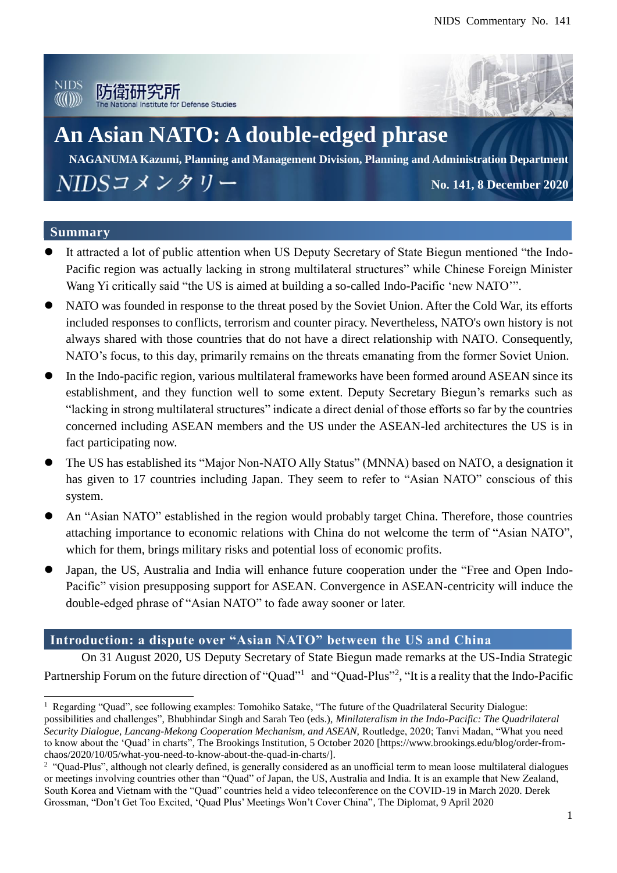



# **An Asian NATO: A double-edged phrase**

**NAGANUMA Kazumi, Planning and Management Division, Planning and Administration Department** NIDSコメンタリー **No. 141, 8 December 2020**

#### **Summary**

 $\overline{a}$ 

- It attracted a lot of public attention when US Deputy Secretary of State Biegun mentioned "the Indo-Pacific region was actually lacking in strong multilateral structures" while Chinese Foreign Minister Wang Yi critically said "the US is aimed at building a so-called Indo-Pacific 'new NATO'".
- NATO was founded in response to the threat posed by the Soviet Union. After the Cold War, its efforts included responses to conflicts, terrorism and counter piracy. Nevertheless, NATO's own history is not always shared with those countries that do not have a direct relationship with NATO. Consequently, NATO's focus, to this day, primarily remains on the threats emanating from the former Soviet Union.
- In the Indo-pacific region, various multilateral frameworks have been formed around ASEAN since its establishment, and they function well to some extent. Deputy Secretary Biegun's remarks such as "lacking in strong multilateral structures" indicate a direct denial of those efforts so far by the countries concerned including ASEAN members and the US under the ASEAN-led architectures the US is in fact participating now.
- The US has established its "Major Non-NATO Ally Status" (MNNA) based on NATO, a designation it has given to 17 countries including Japan. They seem to refer to "Asian NATO" conscious of this system.
- An "Asian NATO" established in the region would probably target China. Therefore, those countries attaching importance to economic relations with China do not welcome the term of "Asian NATO", which for them, brings military risks and potential loss of economic profits.
- Japan, the US, Australia and India will enhance future cooperation under the "Free and Open Indo-Pacific" vision presupposing support for ASEAN. Convergence in ASEAN-centricity will induce the double-edged phrase of "Asian NATO" to fade away sooner or later.

### **Introduction: a dispute over "Asian NATO" between the US and China**

On 31 August 2020, US Deputy Secretary of State Biegun made remarks at the US-India Strategic Partnership Forum on the future direction of "Quad"<sup>1</sup> and "Quad-Plus"<sup>2</sup>, "It is a reality that the Indo-Pacific

 $1$  Regarding "Quad", see following examples: Tomohiko Satake, "The future of the Quadrilateral Security Dialogue: possibilities and challenges", Bhubhindar Singh and Sarah Teo (eds.), *Minilateralism in the Indo-Pacific: The Quadrilateral Security Dialogue, Lancang-Mekong Cooperation Mechanism, and ASEAN,* Routledge, 2020; Tanvi Madan, "What you need to know about the 'Quad' in charts", The Brookings Institution, 5 October 2020 [https://www.brookings.edu/blog/order-fromchaos/2020/10/05/what-you-need-to-know-about-the-quad-in-charts/].

<sup>&</sup>lt;sup>2</sup> "Quad-Plus", although not clearly defined, is generally considered as an unofficial term to mean loose multilateral dialogues or meetings involving countries other than "Quad" of Japan, the US, Australia and India. It is an example that New Zealand, South Korea and Vietnam with the "Quad" countries held a video teleconference on the COVID-19 in March 2020. Derek Grossman, "Don't Get Too Excited, 'Quad Plus' Meetings Won't Cover China", The Diplomat, 9 April 2020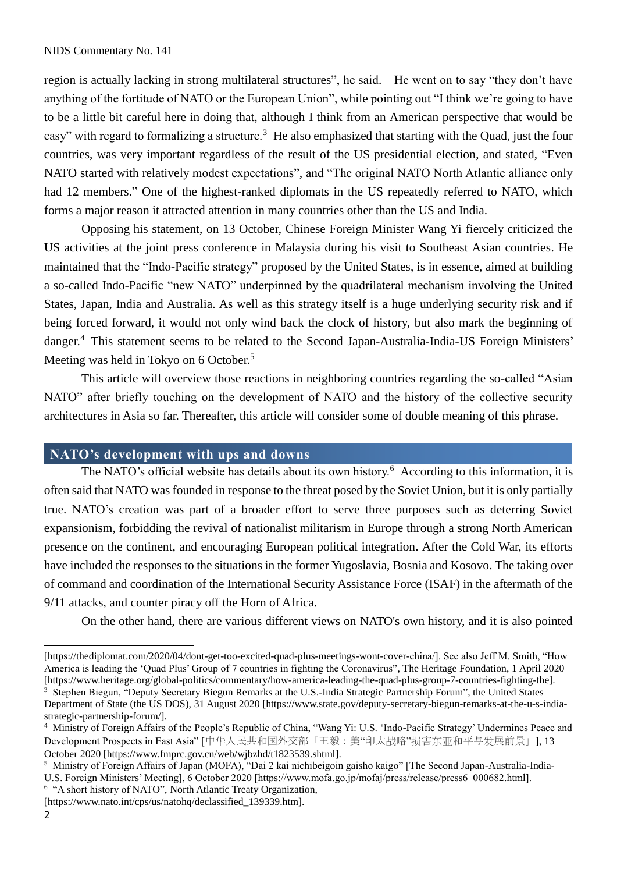region is actually lacking in strong multilateral structures", he said. He went on to say "they don't have anything of the fortitude of NATO or the European Union", while pointing out "I think we're going to have to be a little bit careful here in doing that, although I think from an American perspective that would be easy" with regard to formalizing a structure.<sup>3</sup> He also emphasized that starting with the Quad, just the four countries, was very important regardless of the result of the US presidential election, and stated, "Even NATO started with relatively modest expectations", and "The original NATO North Atlantic alliance only had 12 members." One of the highest-ranked diplomats in the US repeatedly referred to NATO, which forms a major reason it attracted attention in many countries other than the US and India.

Opposing his statement, on 13 October, Chinese Foreign Minister Wang Yi fiercely criticized the US activities at the joint press conference in Malaysia during his visit to Southeast Asian countries. He maintained that the "Indo-Pacific strategy" proposed by the United States, is in essence, aimed at building a so-called Indo-Pacific "new NATO" underpinned by the quadrilateral mechanism involving the United States, Japan, India and Australia. As well as this strategy itself is a huge underlying security risk and if being forced forward, it would not only wind back the clock of history, but also mark the beginning of danger.<sup>4</sup> This statement seems to be related to the Second Japan-Australia-India-US Foreign Ministers' Meeting was held in Tokyo on 6 October.<sup>5</sup>

This article will overview those reactions in neighboring countries regarding the so-called "Asian NATO" after briefly touching on the development of NATO and the history of the collective security architectures in Asia so far. Thereafter, this article will consider some of double meaning of this phrase.

#### **NATO's development with ups and downs**

The NATO's official website has details about its own history.<sup>6</sup> According to this information, it is often said that NATO was founded in response to the threat posed by the Soviet Union, but it is only partially true. NATO's creation was part of a broader effort to serve three purposes such as deterring Soviet expansionism, forbidding the revival of nationalist militarism in Europe through a strong North American presence on the continent, and encouraging European political integration. After the Cold War, its efforts have included the responses to the situations in the former Yugoslavia, Bosnia and Kosovo. The taking over of command and coordination of the International Security Assistance Force (ISAF) in the aftermath of the 9/11 attacks, and counter piracy off the Horn of Africa.

On the other hand, there are various different views on NATO's own history, and it is also pointed

 $\overline{a}$ 

<sup>[</sup>https://thediplomat.com/2020/04/dont-get-too-excited-quad-plus-meetings-wont-cover-china/]. See also Jeff M. Smith, "How America is leading the 'Quad Plus' Group of 7 countries in fighting the Coronavirus", The Heritage Foundation, 1 April 2020 [https://www.heritage.org/global-politics/commentary/how-america-leading-the-quad-plus-group-7-countries-fighting-the]. <sup>3</sup> Stephen Biegun, "Deputy Secretary Biegun Remarks at the U.S.-India Strategic Partnership Forum", the United States Department of State (the US DOS), 31 August 2020 [https://www.state.gov/deputy-secretary-biegun-remarks-at-the-u-s-indiastrategic-partnership-forum/].

<sup>4</sup> Ministry of Foreign Affairs of the People's Republic of China, "Wang Yi: U.S. 'Indo-Pacific Strategy' Undermines Peace and Development Prospects in East Asia" [中华人民共和国外交部「王毅:美"印太战略"损害东亚和平与发展前景」], 13 October 2020 [https://www.fmprc.gov.cn/web/wjbzhd/t1823539.shtml].

<sup>5</sup> Ministry of Foreign Affairs of Japan (MOFA), "Dai 2 kai nichibeigoin gaisho kaigo" [The Second Japan-Australia-India-U.S. Foreign Ministers' Meeting], 6 October 2020 [https://www.mofa.go.jp/mofaj/press/release/press6\_000682.html].

<sup>&</sup>lt;sup>6</sup> "A short history of NATO", North Atlantic Treaty Organization,

<sup>[</sup>https://www.nato.int/cps/us/natohq/declassified\_139339.htm].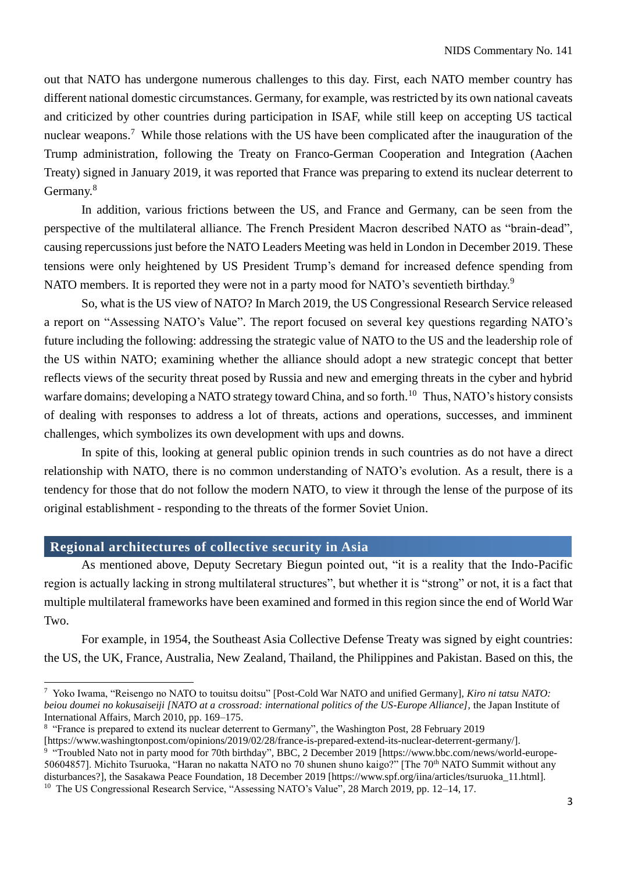out that NATO has undergone numerous challenges to this day. First, each NATO member country has different national domestic circumstances. Germany, for example, was restricted by its own national caveats and criticized by other countries during participation in ISAF, while still keep on accepting US tactical nuclear weapons.<sup>7</sup> While those relations with the US have been complicated after the inauguration of the Trump administration, following the Treaty on Franco-German Cooperation and Integration (Aachen Treaty) signed in January 2019, it was reported that France was preparing to extend its nuclear deterrent to Germany.<sup>8</sup>

In addition, various frictions between the US, and France and Germany, can be seen from the perspective of the multilateral alliance. The French President Macron described NATO as "brain-dead", causing repercussions just before the NATO Leaders Meeting was held in London in December 2019. These tensions were only heightened by US President Trump's demand for increased defence spending from NATO members. It is reported they were not in a party mood for NATO's seventieth birthday.<sup>9</sup>

So, what is the US view of NATO? In March 2019, the US Congressional Research Service released a report on "Assessing NATO's Value". The report focused on several key questions regarding NATO's future including the following: addressing the strategic value of NATO to the US and the leadership role of the US within NATO; examining whether the alliance should adopt a new strategic concept that better reflects views of the security threat posed by Russia and new and emerging threats in the cyber and hybrid warfare domains; developing a NATO strategy toward China, and so forth.<sup>10</sup> Thus, NATO's history consists of dealing with responses to address a lot of threats, actions and operations, successes, and imminent challenges, which symbolizes its own development with ups and downs.

In spite of this, looking at general public opinion trends in such countries as do not have a direct relationship with NATO, there is no common understanding of NATO's evolution. As a result, there is a tendency for those that do not follow the modern NATO, to view it through the lense of the purpose of its original establishment - responding to the threats of the former Soviet Union.

#### **Regional architectures of collective security in Asia**

 $\overline{a}$ 

As mentioned above, Deputy Secretary Biegun pointed out, "it is a reality that the Indo-Pacific region is actually lacking in strong multilateral structures", but whether it is "strong" or not, it is a fact that multiple multilateral frameworks have been examined and formed in this region since the end of World War Two.

For example, in 1954, the Southeast Asia Collective Defense Treaty was signed by eight countries: the US, the UK, France, Australia, New Zealand, Thailand, the Philippines and Pakistan. Based on this, the

<sup>7</sup> Yoko Iwama, "Reisengo no NATO to touitsu doitsu" [Post-Cold War NATO and unified Germany], *Kiro ni tatsu NATO: beiou doumei no kokusaiseiji [NATO at a crossroad: international politics of the US-Europe Alliance],* the Japan Institute of International Affairs, March 2010, pp. 169–175.

<sup>&</sup>lt;sup>8</sup> "France is prepared to extend its nuclear deterrent to Germany", the Washington Post, 28 February 2019 [https://www.washingtonpost.com/opinions/2019/02/28/france-is-prepared-extend-its-nuclear-deterrent-germany/].

<sup>9</sup> "Troubled Nato not in party mood for 70th birthday", BBC, 2 December 2019 [https://www.bbc.com/news/world-europe-50604857]. Michito Tsuruoka, "Haran no nakatta NATO no 70 shunen shuno kaigo?" [The 70<sup>th</sup> NATO Summit without any disturbances?], the Sasakawa Peace Foundation, 18 December 2019 [https://www.spf.org/iina/articles/tsuruoka\_11.html].

<sup>10</sup> The US Congressional Research Service, "Assessing NATO's Value", 28 March 2019, pp. 12–14, 17.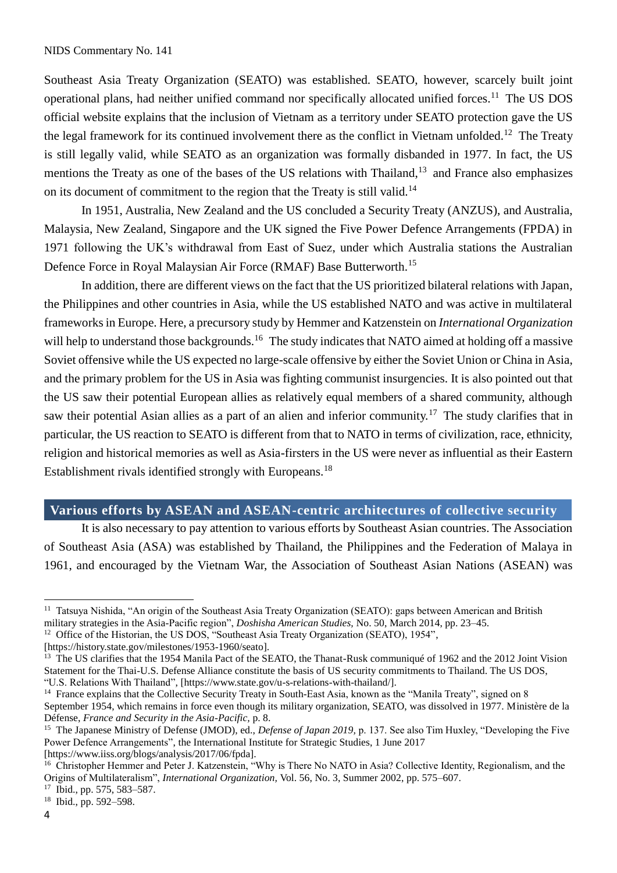Southeast Asia Treaty Organization (SEATO) was established. SEATO, however, scarcely built joint operational plans, had neither unified command nor specifically allocated unified forces.<sup>11</sup> The US DOS official website explains that the inclusion of Vietnam as a territory under SEATO protection gave the US the legal framework for its continued involvement there as the conflict in Vietnam unfolded.<sup>12</sup> The Treaty is still legally valid, while SEATO as an organization was formally disbanded in 1977. In fact, the US mentions the Treaty as one of the bases of the US relations with Thailand,<sup>13</sup> and France also emphasizes on its document of commitment to the region that the Treaty is still valid.<sup>14</sup>

In 1951, Australia, New Zealand and the US concluded a Security Treaty (ANZUS), and Australia, Malaysia, New Zealand, Singapore and the UK signed the Five Power Defence Arrangements (FPDA) in 1971 following the UK's withdrawal from East of Suez, under which Australia stations the Australian Defence Force in Royal Malaysian Air Force (RMAF) Base Butterworth.<sup>15</sup>

In addition, there are different views on the fact that the US prioritized bilateral relations with Japan, the Philippines and other countries in Asia, while the US established NATO and was active in multilateral frameworks in Europe. Here, a precursory study by Hemmer and Katzenstein on *International Organization* will help to understand those backgrounds.<sup>16</sup> The study indicates that NATO aimed at holding off a massive Soviet offensive while the US expected no large-scale offensive by either the Soviet Union or China in Asia, and the primary problem for the US in Asia was fighting communist insurgencies. It is also pointed out that the US saw their potential European allies as relatively equal members of a shared community, although saw their potential Asian allies as a part of an alien and inferior community.<sup>17</sup> The study clarifies that in particular, the US reaction to SEATO is different from that to NATO in terms of civilization, race, ethnicity, religion and historical memories as well as Asia-firsters in the US were never as influential as their Eastern Establishment rivals identified strongly with Europeans.<sup>18</sup>

#### **Various efforts by ASEAN and ASEAN-centric architectures of collective security**

It is also necessary to pay attention to various efforts by Southeast Asian countries. The Association of Southeast Asia (ASA) was established by Thailand, the Philippines and the Federation of Malaya in 1961, and encouraged by the Vietnam War, the Association of Southeast Asian Nations (ASEAN) was

<sup>&</sup>lt;sup>11</sup> Tatsuya Nishida, "An origin of the Southeast Asia Treaty Organization (SEATO): gaps between American and British military strategies in the Asia-Pacific region", *Doshisha American Studies,* No. 50, March 2014, pp. 23–45.

<sup>&</sup>lt;sup>12</sup> Office of the Historian, the US DOS, "Southeast Asia Treaty Organization (SEATO), 1954",

<sup>[</sup>https://history.state.gov/milestones/1953-1960/seato].

<sup>&</sup>lt;sup>13</sup> The US clarifies that the 1954 Manila Pact of the SEATO, the Thanat-Rusk communiqué of 1962 and the 2012 Joint Vision Statement for the Thai-U.S. Defense Alliance constitute the basis of US security commitments to Thailand. The US DOS, "U.S. Relations With Thailand", [https://www.state.gov/u-s-relations-with-thailand/].

<sup>&</sup>lt;sup>14</sup> France explains that the Collective Security Treaty in South-East Asia, known as the "Manila Treaty", signed on 8 September 1954, which remains in force even though its military organization, SEATO, was dissolved in 1977. Ministère de la Défense, *France and Security in the Asia-Pacific,* p. 8.

<sup>&</sup>lt;sup>15</sup> The Japanese Ministry of Defense (JMOD), ed., *Defense of Japan 2019*, p. 137. See also Tim Huxley, "Developing the Five Power Defence Arrangements", the International Institute for Strategic Studies, 1 June 2017 [https://www.iiss.org/blogs/analysis/2017/06/fpda].

<sup>&</sup>lt;sup>16</sup> Christopher Hemmer and Peter J. Katzenstein, "Why is There No NATO in Asia? Collective Identity, Regionalism, and the Origins of Multilateralism", *International Organization,* Vol. 56, No. 3, Summer 2002, pp. 575–607.

<sup>17</sup> Ibid., pp. 575, 583–587.

<sup>18</sup> Ibid., pp. 592–598.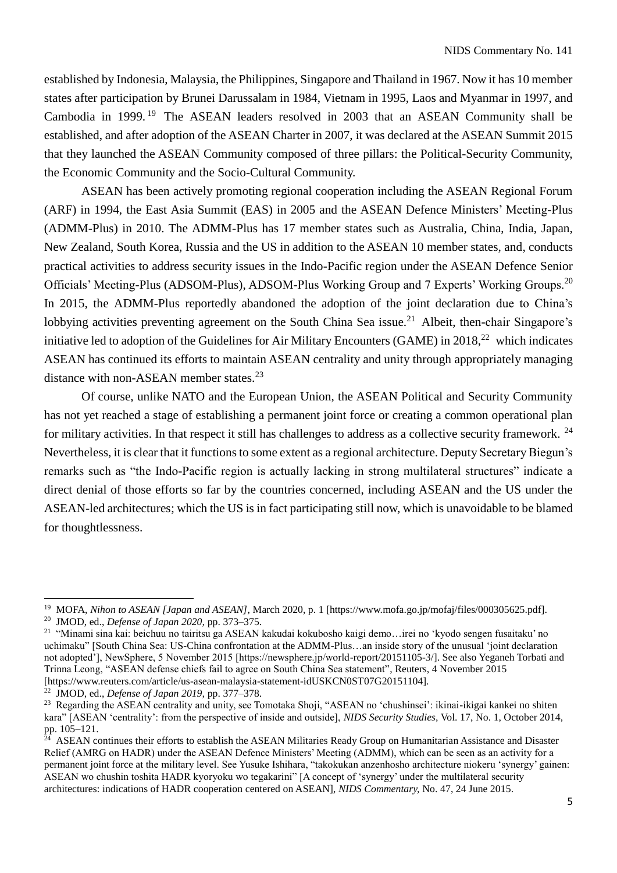established by Indonesia, Malaysia, the Philippines, Singapore and Thailand in 1967. Now it has 10 member states after participation by Brunei Darussalam in 1984, Vietnam in 1995, Laos and Myanmar in 1997, and Cambodia in 1999.<sup>19</sup> The ASEAN leaders resolved in 2003 that an ASEAN Community shall be established, and after adoption of the ASEAN Charter in 2007, it was declared at the ASEAN Summit 2015 that they launched the ASEAN Community composed of three pillars: the Political-Security Community, the Economic Community and the Socio-Cultural Community.

ASEAN has been actively promoting regional cooperation including the ASEAN Regional Forum (ARF) in 1994, the East Asia Summit (EAS) in 2005 and the ASEAN Defence Ministers' Meeting-Plus (ADMM-Plus) in 2010. The ADMM-Plus has 17 member states such as Australia, China, India, Japan, New Zealand, South Korea, Russia and the US in addition to the ASEAN 10 member states, and, conducts practical activities to address security issues in the Indo-Pacific region under the ASEAN Defence Senior Officials' Meeting-Plus (ADSOM-Plus), ADSOM-Plus Working Group and 7 Experts' Working Groups.<sup>20</sup> In 2015, the ADMM-Plus reportedly abandoned the adoption of the joint declaration due to China's lobbying activities preventing agreement on the South China Sea issue.<sup>21</sup> Albeit, then-chair Singapore's initiative led to adoption of the Guidelines for Air Military Encounters (GAME) in 2018.<sup>22</sup> which indicates ASEAN has continued its efforts to maintain ASEAN centrality and unity through appropriately managing distance with non-ASEAN member states.<sup>23</sup>

Of course, unlike NATO and the European Union, the ASEAN Political and Security Community has not yet reached a stage of establishing a permanent joint force or creating a common operational plan for military activities. In that respect it still has challenges to address as a collective security framework. <sup>24</sup> Nevertheless, it is clear that it functions to some extent as a regional architecture. Deputy Secretary Biegun's remarks such as "the Indo-Pacific region is actually lacking in strong multilateral structures" indicate a direct denial of those efforts so far by the countries concerned, including ASEAN and the US under the ASEAN-led architectures; which the US is in fact participating still now, which is unavoidable to be blamed for thoughtlessness.

<sup>22</sup> JMOD, ed., *Defense of Japan 2019,* pp. 377–378.

<sup>19</sup> MOFA, *Nihon to ASEAN [Japan and ASEAN],* March 2020, p. 1 [https://www.mofa.go.jp/mofaj/files/000305625.pdf]. <sup>20</sup> JMOD, ed., *Defense of Japan 2020,* pp. 373–375.

<sup>21</sup> "Minami sina kai: beichuu no tairitsu ga ASEAN kakudai kokubosho kaigi demo…irei no 'kyodo sengen fusaitaku' no uchimaku" [South China Sea: US-China confrontation at the ADMM-Plus…an inside story of the unusual 'joint declaration not adopted'], NewSphere, 5 November 2015 [https://newsphere.jp/world-report/20151105-3/]. See also Yeganeh Torbati and Trinna Leong, "ASEAN defense chiefs fail to agree on South China Sea statement", Reuters, 4 November 2015 [https://www.reuters.com/article/us-asean-malaysia-statement-idUSKCN0ST07G20151104].

<sup>&</sup>lt;sup>23</sup> Regarding the ASEAN centrality and unity, see Tomotaka Shoji, "ASEAN no 'chushinsei': ikinai-ikigai kankei no shiten kara" [ASEAN 'centrality': from the perspective of inside and outside], *NIDS Security Studies,* Vol. 17, No. 1, October 2014, pp. 105–121.

<sup>&</sup>lt;sup>24</sup> ASEAN continues their efforts to establish the ASEAN Militaries Ready Group on Humanitarian Assistance and Disaster Relief (AMRG on HADR) under the ASEAN Defence Ministers' Meeting (ADMM), which can be seen as an activity for a permanent joint force at the military level. See Yusuke Ishihara, "takokukan anzenhosho architecture niokeru 'synergy' gainen: ASEAN wo chushin toshita HADR kyoryoku wo tegakarini" [A concept of 'synergy' under the multilateral security architectures: indications of HADR cooperation centered on ASEAN], *NIDS Commentary,* No. 47, 24 June 2015.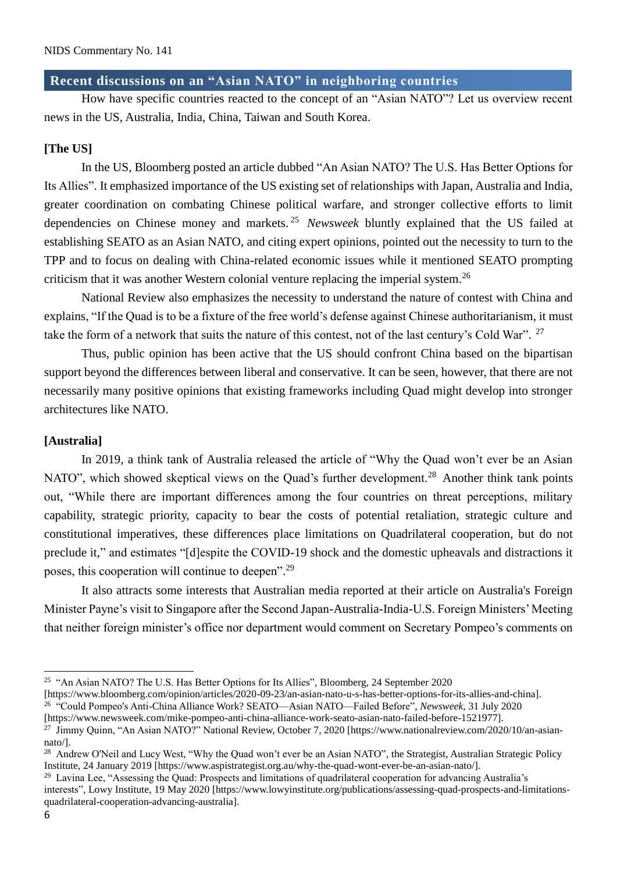#### **Recent discussions on an "Asian NATO" in neighboring countries**

How have specific countries reacted to the concept of an "Asian NATO"? Let us overview recent news in the US, Australia, India, China, Taiwan and South Korea.

#### **[The US]**

In the US, Bloomberg posted an article dubbed "An Asian NATO? The U.S. Has Better Options for Its Allies". It emphasized importance of the US existing set of relationships with Japan, Australia and India, greater coordination on combating Chinese political warfare, and stronger collective efforts to limit dependencies on Chinese money and markets. <sup>25</sup> *Newsweek* bluntly explained that the US failed at establishing SEATO as an Asian NATO, and citing expert opinions, pointed out the necessity to turn to the TPP and to focus on dealing with China-related economic issues while it mentioned SEATO prompting criticism that it was another Western colonial venture replacing the imperial system.<sup>26</sup>

National Review also emphasizes the necessity to understand the nature of contest with China and explains, "If the Quad is to be a fixture of the free world's defense against Chinese authoritarianism, it must take the form of a network that suits the nature of this contest, not of the last century's Cold War". <sup>27</sup>

Thus, public opinion has been active that the US should confront China based on the bipartisan support beyond the differences between liberal and conservative. It can be seen, however, that there are not necessarily many positive opinions that existing frameworks including Quad might develop into stronger architectures like NATO.

#### **[Australia]**

In 2019, a think tank of Australia released the article of "Why the Quad won't ever be an Asian NATO", which showed skeptical views on the Quad's further development.<sup>28</sup> Another think tank points out, "While there are important differences among the four countries on threat perceptions, military capability, strategic priority, capacity to bear the costs of potential retaliation, strategic culture and constitutional imperatives, these differences place limitations on Quadrilateral cooperation, but do not preclude it," and estimates "[d]espite the COVID-19 shock and the domestic upheavals and distractions it poses, this cooperation will continue to deepen".<sup>29</sup>

It also attracts some interests that Australian media reported at their article on Australia's Foreign Minister Payne's visit to Singapore after the Second Japan-Australia-India-U.S. Foreign Ministers' Meeting that neither foreign minister's office nor department would comment on Secretary Pompeo's comments on

<sup>&</sup>lt;sup>25</sup> "An Asian NATO? The U.S. Has Better Options for Its Allies", Bloomberg, 24 September 2020

<sup>[</sup>https://www.bloomberg.com/opinion/articles/2020-09-23/an-asian-nato-u-s-has-better-options-for-its-allies-and-china]. <sup>26</sup> "Could Pompeo's Anti-China Alliance Work? SEATO—Asian NATO—Failed Before", *Newsweek,* 31 July 2020

<sup>[</sup>https://www.newsweek.com/mike-pompeo-anti-china-alliance-work-seato-asian-nato-failed-before-1521977].

<sup>&</sup>lt;sup>27</sup> Jimmy Quinn, "An Asian NATO?" National Review, October 7, 2020 [https://www.nationalreview.com/2020/10/an-asiannato/].

<sup>&</sup>lt;sup>28</sup> Andrew O'Neil and Lucy West, "Why the Quad won't ever be an Asian NATO", the Strategist, Australian Strategic Policy Institute, 24 January 2019 [https://www.aspistrategist.org.au/why-the-quad-wont-ever-be-an-asian-nato/].

<sup>29</sup> Lavina Lee, "Assessing the Quad: Prospects and limitations of quadrilateral cooperation for advancing Australia's interests", Lowy Institute, 19 May 2020 [https://www.lowyinstitute.org/publications/assessing-quad-prospects-and-limitationsquadrilateral-cooperation-advancing-australia].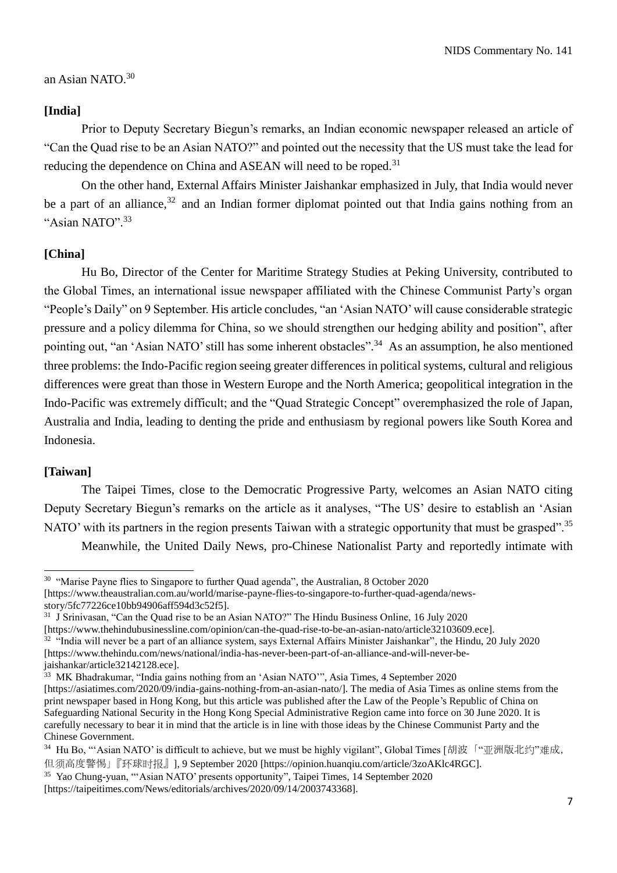#### an Asian NATO.<sup>30</sup>

#### **[India]**

Prior to Deputy Secretary Biegun's remarks, an Indian economic newspaper released an article of "Can the Quad rise to be an Asian NATO?" and pointed out the necessity that the US must take the lead for reducing the dependence on China and ASEAN will need to be roped.<sup>31</sup>

On the other hand, External Affairs Minister Jaishankar emphasized in July, that India would never be a part of an alliance.<sup>32</sup> and an Indian former diplomat pointed out that India gains nothing from an "Asian NATO". 33

#### **[China]**

Hu Bo, Director of the Center for Maritime Strategy Studies at Peking University, contributed to the Global Times, an international issue newspaper affiliated with the Chinese Communist Party's organ "People's Daily" on 9 September. His article concludes, "an 'Asian NATO' will cause considerable strategic pressure and a policy dilemma for China, so we should strengthen our hedging ability and position", after pointing out, "an 'Asian NATO' still has some inherent obstacles".<sup>34</sup> As an assumption, he also mentioned three problems: the Indo-Pacific region seeing greater differences in political systems, cultural and religious differences were great than those in Western Europe and the North America; geopolitical integration in the Indo-Pacific was extremely difficult; and the "Quad Strategic Concept" overemphasized the role of Japan, Australia and India, leading to denting the pride and enthusiasm by regional powers like South Korea and Indonesia.

#### **[Taiwan]**

 $\overline{a}$ 

The Taipei Times, close to the Democratic Progressive Party, welcomes an Asian NATO citing Deputy Secretary Biegun's remarks on the article as it analyses, "The US' desire to establish an 'Asian NATO' with its partners in the region presents Taiwan with a strategic opportunity that must be grasped".<sup>35</sup>

Meanwhile, the United Daily News, pro-Chinese Nationalist Party and reportedly intimate with

<sup>&</sup>lt;sup>30</sup> "Marise Payne flies to Singapore to further Quad agenda", the Australian, 8 October 2020 [https://www.theaustralian.com.au/world/marise-payne-flies-to-singapore-to-further-quad-agenda/newsstory/5fc77226ce10bb94906aff594d3c52f5].

<sup>&</sup>lt;sup>31</sup> J Srinivasan, "Can the Quad rise to be an Asian NATO?" The Hindu Business Online, 16 July 2020 [https://www.thehindubusinessline.com/opinion/can-the-quad-rise-to-be-an-asian-nato/article32103609.ece].  $32$  "India will never be a part of an alliance system, says External Affairs Minister Jaishankar", the Hindu, 20 July 2020 [https://www.thehindu.com/news/national/india-has-never-been-part-of-an-alliance-and-will-never-bejaishankar/article32142128.ece].

<sup>&</sup>lt;sup>33</sup> MK Bhadrakumar, "India gains nothing from an 'Asian NATO'", Asia Times, 4 September 2020 [https://asiatimes.com/2020/09/india-gains-nothing-from-an-asian-nato/]. The media of Asia Times as online stems from the print newspaper based in Hong Kong, but this article was published after the Law of the People's Republic of China on Safeguarding National Security in the Hong Kong Special Administrative Region came into force on 30 June 2020. It is carefully necessary to bear it in mind that the article is in line with those ideas by the Chinese Communist Party and the Chinese Government.

<sup>&</sup>lt;sup>34</sup> Hu Bo, "'Asian NATO' is difficult to achieve, but we must be highly vigilant", Global Times [胡波「"亚洲版北约"难成, 但须高度警惕」『环球时报』], 9 September 2020 [https://opinion.huanqiu.com/article/3zoAKlc4RGC].

<sup>35</sup> Yao Chung-yuan, "'Asian NATO' presents opportunity", Taipei Times, 14 September 2020 [https://taipeitimes.com/News/editorials/archives/2020/09/14/2003743368].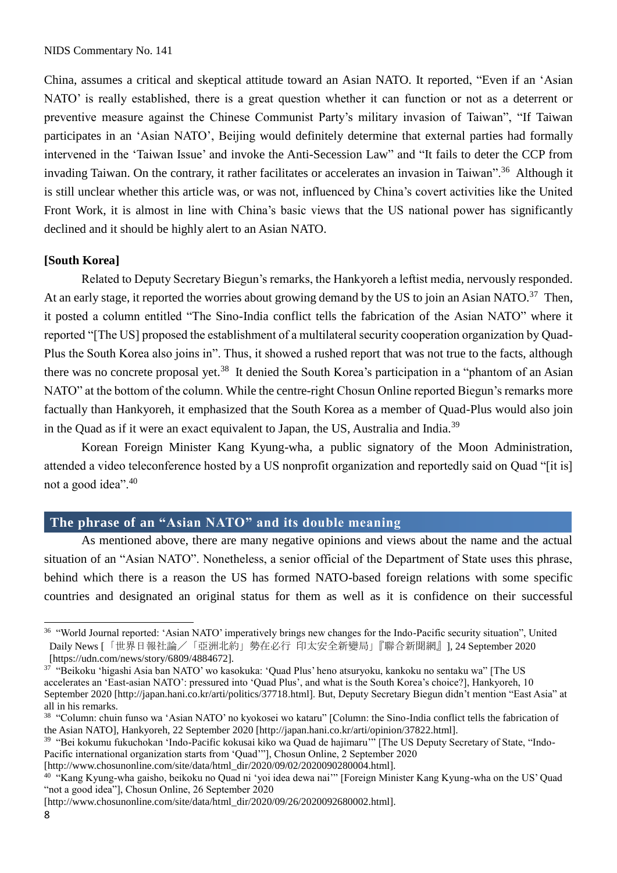China, assumes a critical and skeptical attitude toward an Asian NATO. It reported, "Even if an 'Asian NATO' is really established, there is a great question whether it can function or not as a deterrent or preventive measure against the Chinese Communist Party's military invasion of Taiwan", "If Taiwan participates in an 'Asian NATO', Beijing would definitely determine that external parties had formally intervened in the 'Taiwan Issue' and invoke the Anti-Secession Law" and "It fails to deter the CCP from invading Taiwan. On the contrary, it rather facilitates or accelerates an invasion in Taiwan".<sup>36</sup> Although it is still unclear whether this article was, or was not, influenced by China's covert activities like the United Front Work, it is almost in line with China's basic views that the US national power has significantly declined and it should be highly alert to an Asian NATO.

#### **[South Korea]**

Related to Deputy Secretary Biegun's remarks, the Hankyoreh a leftist media, nervously responded. At an early stage, it reported the worries about growing demand by the US to join an Asian NATO.<sup>37</sup> Then, it posted a column entitled "The Sino-India conflict tells the fabrication of the Asian NATO" where it reported "[The US] proposed the establishment of a multilateral security cooperation organization by Quad-Plus the South Korea also joins in". Thus, it showed a rushed report that was not true to the facts, although there was no concrete proposal yet.<sup>38</sup> It denied the South Korea's participation in a "phantom of an Asian" NATO" at the bottom of the column. While the centre-right Chosun Online reported Biegun's remarks more factually than Hankyoreh, it emphasized that the South Korea as a member of Quad-Plus would also join in the Quad as if it were an exact equivalent to Japan, the US, Australia and India.<sup>39</sup>

Korean Foreign Minister Kang Kyung-wha, a public signatory of the Moon Administration, attended a video teleconference hosted by a US nonprofit organization and reportedly said on Quad "[it is] not a good idea".<sup>40</sup>

## **The phrase of an "Asian NATO" and its double meaning**

As mentioned above, there are many negative opinions and views about the name and the actual situation of an "Asian NATO". Nonetheless, a senior official of the Department of State uses this phrase, behind which there is a reason the US has formed NATO-based foreign relations with some specific countries and designated an original status for them as well as it is confidence on their successful

[http://www.chosunonline.com/site/data/html\_dir/2020/09/02/2020090280004.html].

<sup>40</sup> "Kang Kyung-wha gaisho, beikoku no Quad ni 'yoi idea dewa nai'" [Foreign Minister Kang Kyung-wha on the US' Quad "not a good idea"], Chosun Online, 26 September 2020

 $\overline{a}$ 

<sup>&</sup>lt;sup>36</sup> "World Journal reported: 'Asian NATO' imperatively brings new changes for the Indo-Pacific security situation", United Daily News [「世界日報社論/「亞洲北約」勢在必行 印太安全新變局」『聯合新聞網』], 24 September 2020 [https://udn.com/news/story/6809/4884672].

<sup>37</sup> "Beikoku 'higashi Asia ban NATO' wo kasokuka: 'Quad Plus' heno atsuryoku, kankoku no sentaku wa" [The US accelerates an 'East-asian NATO': pressured into 'Quad Plus', and what is the South Korea's choice?], Hankyoreh, 10 September 2020 [http://japan.hani.co.kr/arti/politics/37718.html]. But, Deputy Secretary Biegun didn't mention "East Asia" at all in his remarks.

<sup>&</sup>lt;sup>38</sup> "Column: chuin funso wa 'Asian NATO' no kyokosei wo kataru" [Column: the Sino-India conflict tells the fabrication of the Asian NATO], Hankyoreh, 22 September 2020 [http://japan.hani.co.kr/arti/opinion/37822.html].

<sup>39</sup> "Bei kokumu fukuchokan 'Indo-Pacific kokusai kiko wa Quad de hajimaru'" [The US Deputy Secretary of State, "Indo-Pacific international organization starts from 'Quad'"], Chosun Online, 2 September 2020

<sup>[</sup>http://www.chosunonline.com/site/data/html\_dir/2020/09/26/2020092680002.html].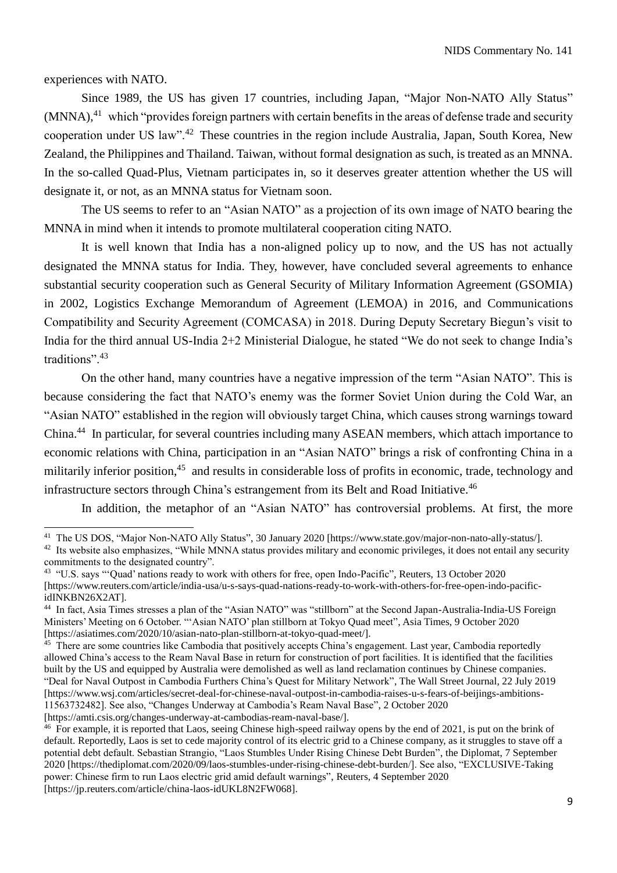experiences with NATO.

Since 1989, the US has given 17 countries, including Japan, "Major Non-NATO Ally Status" (MNNA),<sup>41</sup> which "provides foreign partners with certain benefits in the areas of defense trade and security cooperation under US law".<sup>42</sup> These countries in the region include Australia, Japan, South Korea, New Zealand, the Philippines and Thailand. Taiwan, without formal designation as such, is treated as an MNNA. In the so-called Quad-Plus, Vietnam participates in, so it deserves greater attention whether the US will designate it, or not, as an MNNA status for Vietnam soon.

The US seems to refer to an "Asian NATO" as a projection of its own image of NATO bearing the MNNA in mind when it intends to promote multilateral cooperation citing NATO.

It is well known that India has a non-aligned policy up to now, and the US has not actually designated the MNNA status for India. They, however, have concluded several agreements to enhance substantial security cooperation such as General Security of Military Information Agreement (GSOMIA) in 2002, Logistics Exchange Memorandum of Agreement (LEMOA) in 2016, and Communications Compatibility and Security Agreement (COMCASA) in 2018. During Deputy Secretary Biegun's visit to India for the third annual US-India 2+2 Ministerial Dialogue, he stated "We do not seek to change India's traditions". 43

On the other hand, many countries have a negative impression of the term "Asian NATO". This is because considering the fact that NATO's enemy was the former Soviet Union during the Cold War, an "Asian NATO" established in the region will obviously target China, which causes strong warnings toward China.<sup>44</sup> In particular, for several countries including many ASEAN members, which attach importance to economic relations with China, participation in an "Asian NATO" brings a risk of confronting China in a militarily inferior position,<sup>45</sup> and results in considerable loss of profits in economic, trade, technology and infrastructure sectors through China's estrangement from its Belt and Road Initiative.<sup>46</sup>

In addition, the metaphor of an "Asian NATO" has controversial problems. At first, the more

<sup>&</sup>lt;sup>41</sup> The US DOS, "Major Non-NATO Ally Status", 30 January 2020 [https://www.state.gov/major-non-nato-ally-status/]. <sup>42</sup> Its website also emphasizes, "While MNNA status provides military and economic privileges, it does not entail any security

commitments to the designated country".

<sup>&</sup>lt;sup>43</sup> "U.S. says "'Ouad' nations ready to work with others for free, open Indo-Pacific", Reuters, 13 October 2020 [https://www.reuters.com/article/india-usa/u-s-says-quad-nations-ready-to-work-with-others-for-free-open-indo-pacificidINKBN26X2AT].

<sup>&</sup>lt;sup>44</sup> In fact, Asia Times stresses a plan of the "Asian NATO" was "stillborn" at the Second Japan-Australia-India-US Foreign Ministers' Meeting on 6 October. "'Asian NATO' plan stillborn at Tokyo Quad meet", Asia Times, 9 October 2020 [https://asiatimes.com/2020/10/asian-nato-plan-stillborn-at-tokyo-quad-meet/].

<sup>&</sup>lt;sup>45</sup> There are some countries like Cambodia that positively accepts China's engagement. Last year, Cambodia reportedly allowed China's access to the Ream Naval Base in return for construction of port facilities. It is identified that the facilities built by the US and equipped by Australia were demolished as well as land reclamation continues by Chinese companies. "Deal for Naval Outpost in Cambodia Furthers China's Quest for Military Network", The Wall Street Journal, 22 July 2019 [https://www.wsj.com/articles/secret-deal-for-chinese-naval-outpost-in-cambodia-raises-u-s-fears-of-beijings-ambitions-11563732482]. See also, "Changes Underway at Cambodia's Ream Naval Base", 2 October 2020 [https://amti.csis.org/changes-underway-at-cambodias-ream-naval-base/].

<sup>&</sup>lt;sup>46</sup> For example, it is reported that Laos, seeing Chinese high-speed railway opens by the end of 2021, is put on the brink of default. Reportedly, Laos is set to cede majority control of its electric grid to a Chinese company, as it struggles to stave off a potential debt default. Sebastian Strangio, "Laos Stumbles Under Rising Chinese Debt Burden", the Diplomat, 7 September 2020 [https://thediplomat.com/2020/09/laos-stumbles-under-rising-chinese-debt-burden/]. See also, "EXCLUSIVE-Taking power: Chinese firm to run Laos electric grid amid default warnings", Reuters, 4 September 2020 [https://jp.reuters.com/article/china-laos-idUKL8N2FW068].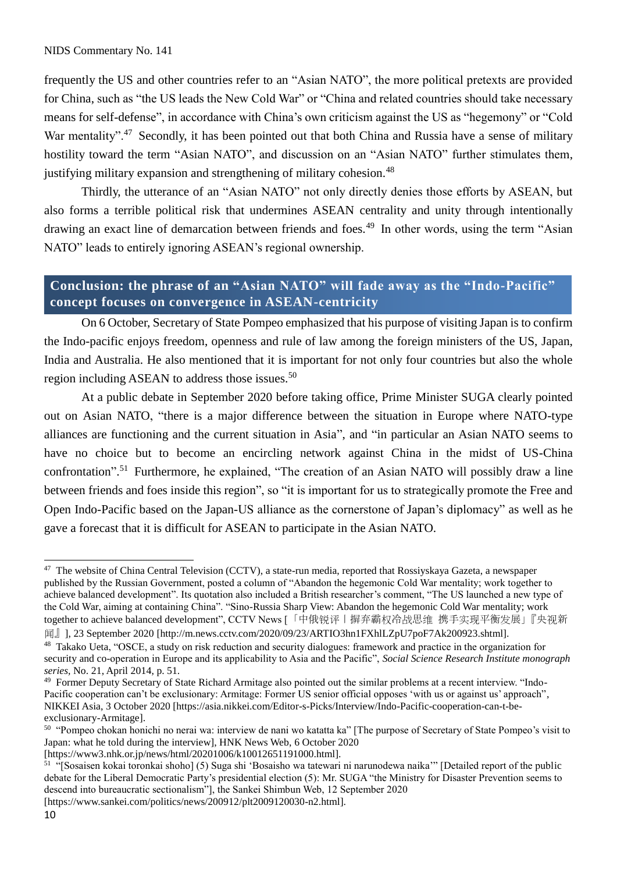frequently the US and other countries refer to an "Asian NATO", the more political pretexts are provided for China, such as "the US leads the New Cold War" or "China and related countries should take necessary means for self-defense", in accordance with China's own criticism against the US as "hegemony" or "Cold War mentality".<sup>47</sup> Secondly, it has been pointed out that both China and Russia have a sense of military hostility toward the term "Asian NATO", and discussion on an "Asian NATO" further stimulates them, justifying military expansion and strengthening of military cohesion.<sup>48</sup>

Thirdly, the utterance of an "Asian NATO" not only directly denies those efforts by ASEAN, but also forms a terrible political risk that undermines ASEAN centrality and unity through intentionally drawing an exact line of demarcation between friends and foes.<sup>49</sup> In other words, using the term "Asian" NATO" leads to entirely ignoring ASEAN's regional ownership.

## **Conclusion: the phrase of an "Asian NATO" will fade away as the "Indo-Pacific" concept focuses on convergence in ASEAN-centricity**

On 6 October, Secretary of State Pompeo emphasized that his purpose of visiting Japan is to confirm the Indo-pacific enjoys freedom, openness and rule of law among the foreign ministers of the US, Japan, India and Australia. He also mentioned that it is important for not only four countries but also the whole region including ASEAN to address those issues.<sup>50</sup>

At a public debate in September 2020 before taking office, Prime Minister SUGA clearly pointed out on Asian NATO, "there is a major difference between the situation in Europe where NATO-type alliances are functioning and the current situation in Asia", and "in particular an Asian NATO seems to have no choice but to become an encircling network against China in the midst of US-China confrontation". <sup>51</sup> Furthermore, he explained, "The creation of an Asian NATO will possibly draw a line between friends and foes inside this region", so "it is important for us to strategically promote the Free and Open Indo-Pacific based on the Japan-US alliance as the cornerstone of Japan's diplomacy" as well as he gave a forecast that it is difficult for ASEAN to participate in the Asian NATO.

 $\overline{a}$ 

<sup>&</sup>lt;sup>47</sup> The website of China Central Television (CCTV), a state-run media, reported that Rossiyskaya Gazeta, a newspaper published by the Russian Government, posted a column of "Abandon the hegemonic Cold War mentality; work together to achieve balanced development". Its quotation also included a British researcher's comment, "The US launched a new type of the Cold War, aiming at containing China". "Sino-Russia Sharp View: Abandon the hegemonic Cold War mentality; work together to achieve balanced development", CCTV News [「中俄锐评丨摒弃霸权冷战思维 携手实现平衡发展」『央视新

闻』], 23 September 2020 [http://m.news.cctv.com/2020/09/23/ARTIO3hn1FXhlLZpU7poF7Ak200923.shtml].

<sup>&</sup>lt;sup>48</sup> Takako Ueta, "OSCE, a study on risk reduction and security dialogues: framework and practice in the organization for security and co-operation in Europe and its applicability to Asia and the Pacific", *Social Science Research Institute monograph series,* No. 21, April 2014, p. 51.

<sup>49</sup> Former Deputy Secretary of State Richard Armitage also pointed out the similar problems at a recent interview. "Indo-Pacific cooperation can't be exclusionary: Armitage: Former US senior official opposes 'with us or against us' approach", NIKKEI Asia, 3 October 2020 [https://asia.nikkei.com/Editor-s-Picks/Interview/Indo-Pacific-cooperation-can-t-beexclusionary-Armitage].

<sup>50</sup> "Pompeo chokan honichi no nerai wa: interview de nani wo katatta ka" [The purpose of Secretary of State Pompeo's visit to Japan: what he told during the interview], HNK News Web, 6 October 2020

<sup>[</sup>https://www3.nhk.or.jp/news/html/20201006/k10012651191000.html].

<sup>51</sup> "[Sosaisen kokai toronkai shoho] (5) Suga shi 'Bosaisho wa tatewari ni narunodewa naika'" [Detailed report of the public debate for the Liberal Democratic Party's presidential election (5): Mr. SUGA "the Ministry for Disaster Prevention seems to descend into bureaucratic sectionalism"], the Sankei Shimbun Web, 12 September 2020

<sup>[</sup>https://www.sankei.com/politics/news/200912/plt2009120030-n2.html].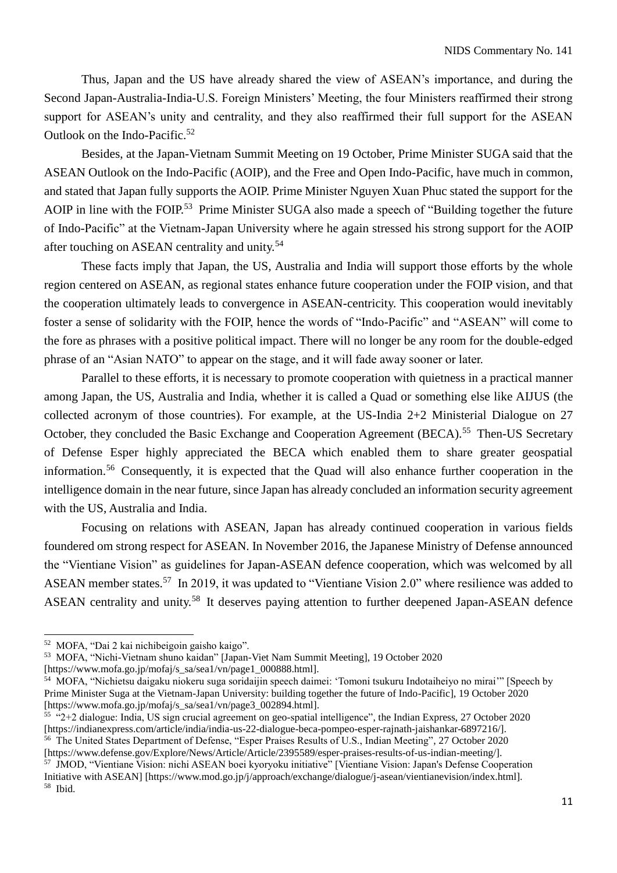Thus, Japan and the US have already shared the view of ASEAN's importance, and during the Second Japan-Australia-India-U.S. Foreign Ministers' Meeting, the four Ministers reaffirmed their strong support for ASEAN's unity and centrality, and they also reaffirmed their full support for the ASEAN Outlook on the Indo-Pacific.<sup>52</sup>

Besides, at the Japan-Vietnam Summit Meeting on 19 October, Prime Minister SUGA said that the ASEAN Outlook on the Indo-Pacific (AOIP), and the Free and Open Indo-Pacific, have much in common, and stated that Japan fully supports the AOIP. Prime Minister Nguyen Xuan Phuc stated the support for the AOIP in line with the FOIP.<sup>53</sup> Prime Minister SUGA also made a speech of "Building together the future" of Indo-Pacific" at the Vietnam-Japan University where he again stressed his strong support for the AOIP after touching on ASEAN centrality and unity.<sup>54</sup>

These facts imply that Japan, the US, Australia and India will support those efforts by the whole region centered on ASEAN, as regional states enhance future cooperation under the FOIP vision, and that the cooperation ultimately leads to convergence in ASEAN-centricity. This cooperation would inevitably foster a sense of solidarity with the FOIP, hence the words of "Indo-Pacific" and "ASEAN" will come to the fore as phrases with a positive political impact. There will no longer be any room for the double-edged phrase of an "Asian NATO" to appear on the stage, and it will fade away sooner or later.

Parallel to these efforts, it is necessary to promote cooperation with quietness in a practical manner among Japan, the US, Australia and India, whether it is called a Quad or something else like AIJUS (the collected acronym of those countries). For example, at the US-India 2+2 Ministerial Dialogue on 27 October, they concluded the Basic Exchange and Cooperation Agreement (BECA).<sup>55</sup> Then-US Secretary of Defense Esper highly appreciated the BECA which enabled them to share greater geospatial information.<sup>56</sup> Consequently, it is expected that the Quad will also enhance further cooperation in the intelligence domain in the near future, since Japan has already concluded an information security agreement with the US, Australia and India.

Focusing on relations with ASEAN, Japan has already continued cooperation in various fields foundered om strong respect for ASEAN. In November 2016, the Japanese Ministry of Defense announced the "Vientiane Vision" as guidelines for Japan-ASEAN defence cooperation, which was welcomed by all ASEAN member states.<sup>57</sup> In 2019, it was updated to "Vientiane Vision 2.0" where resilience was added to ASEAN centrality and unity.<sup>58</sup> It deserves paying attention to further deepened Japan-ASEAN defence

<sup>52</sup> MOFA, "Dai 2 kai nichibeigoin gaisho kaigo".

<sup>53</sup> MOFA, "Nichi-Vietnam shuno kaidan" [Japan-Viet Nam Summit Meeting], 19 October 2020

<sup>[</sup>https://www.mofa.go.jp/mofaj/s\_sa/sea1/vn/page1\_000888.html].

<sup>54</sup> MOFA, "Nichietsu daigaku niokeru suga soridaijin speech daimei: 'Tomoni tsukuru Indotaiheiyo no mirai'" [Speech by Prime Minister Suga at the Vietnam-Japan University: building together the future of Indo-Pacific], 19 October 2020 [https://www.mofa.go.jp/mofaj/s\_sa/sea1/vn/page3\_002894.html].

 $\overline{55}$  "2+2 dialogue: India, US sign crucial agreement on geo-spatial intelligence", the Indian Express, 27 October 2020 [https://indianexpress.com/article/india/india-us-22-dialogue-beca-pompeo-esper-rajnath-jaishankar-6897216/]. <sup>56</sup> The United States Department of Defense, "Esper Praises Results of U.S., Indian Meeting", 27 October 2020

<sup>[</sup>https://www.defense.gov/Explore/News/Article/Article/2395589/esper-praises-results-of-us-indian-meeting/]. <sup>57</sup> JMOD, "Vientiane Vision: nichi ASEAN boei kyoryoku initiative" [Vientiane Vision: Japan's Defense Cooperation Initiative with ASEAN] [https://www.mod.go.jp/j/approach/exchange/dialogue/j-asean/vientianevision/index.html]. <sup>58</sup> Ibid.